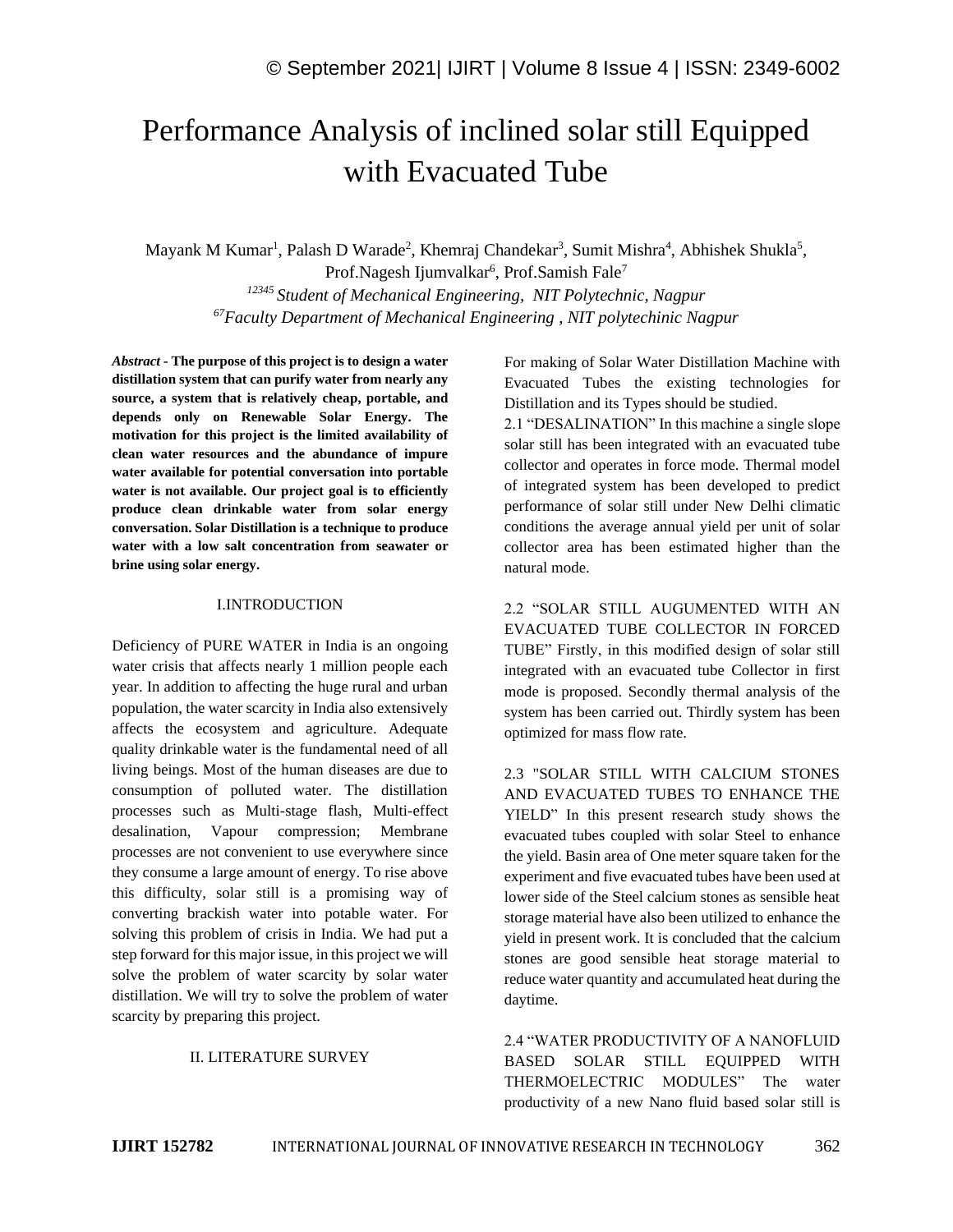# Performance Analysis of inclined solar still Equipped with Evacuated Tube

Mayank M Kumar<sup>1</sup>, Palash D Warade<sup>2</sup>, Khemraj Chandekar<sup>3</sup>, Sumit Mishra<sup>4</sup>, Abhishek Shukla<sup>5</sup>, Prof.Nagesh Ijumvalkar<sup>6</sup>, Prof.Samish Fale<sup>7</sup>

*<sup>12345</sup> Student of Mechanical Engineering, NIT Polytechnic, Nagpur <sup>67</sup>Faculty Department of Mechanical Engineering , NIT polytechinic Nagpur*

*Abstract -* **The purpose of this project is to design a water distillation system that can purify water from nearly any source, a system that is relatively cheap, portable, and depends only on Renewable Solar Energy. The motivation for this project is the limited availability of clean water resources and the abundance of impure water available for potential conversation into portable water is not available. Our project goal is to efficiently produce clean drinkable water from solar energy conversation. Solar Distillation is a technique to produce water with a low salt concentration from seawater or brine using solar energy.**

#### I.INTRODUCTION

Deficiency of PURE WATER in India is an ongoing water crisis that affects nearly 1 million people each year. In addition to affecting the huge rural and urban population, the water scarcity in India also extensively affects the ecosystem and agriculture. Adequate quality drinkable water is the fundamental need of all living beings. Most of the human diseases are due to consumption of polluted water. The distillation processes such as Multi-stage flash, Multi-effect desalination, Vapour compression; Membrane processes are not convenient to use everywhere since they consume a large amount of energy. To rise above this difficulty, solar still is a promising way of converting brackish water into potable water. For solving this problem of crisis in India. We had put a step forward for this major issue, in this project we will solve the problem of water scarcity by solar water distillation. We will try to solve the problem of water scarcity by preparing this project.

#### II. LITERATURE SURVEY

For making of Solar Water Distillation Machine with Evacuated Tubes the existing technologies for Distillation and its Types should be studied.

2.1 "DESALINATION" In this machine a single slope solar still has been integrated with an evacuated tube collector and operates in force mode. Thermal model of integrated system has been developed to predict performance of solar still under New Delhi climatic conditions the average annual yield per unit of solar collector area has been estimated higher than the natural mode.

2.2 "SOLAR STILL AUGUMENTED WITH AN EVACUATED TUBE COLLECTOR IN FORCED TUBE" Firstly, in this modified design of solar still integrated with an evacuated tube Collector in first mode is proposed. Secondly thermal analysis of the system has been carried out. Thirdly system has been optimized for mass flow rate.

2.3 "SOLAR STILL WITH CALCIUM STONES AND EVACUATED TUBES TO ENHANCE THE YIELD" In this present research study shows the evacuated tubes coupled with solar Steel to enhance the yield. Basin area of One meter square taken for the experiment and five evacuated tubes have been used at lower side of the Steel calcium stones as sensible heat storage material have also been utilized to enhance the yield in present work. It is concluded that the calcium stones are good sensible heat storage material to reduce water quantity and accumulated heat during the daytime.

2.4 "WATER PRODUCTIVITY OF A NANOFLUID BASED SOLAR STILL EQUIPPED WITH THERMOELECTRIC MODULES" The water productivity of a new Nano fluid based solar still is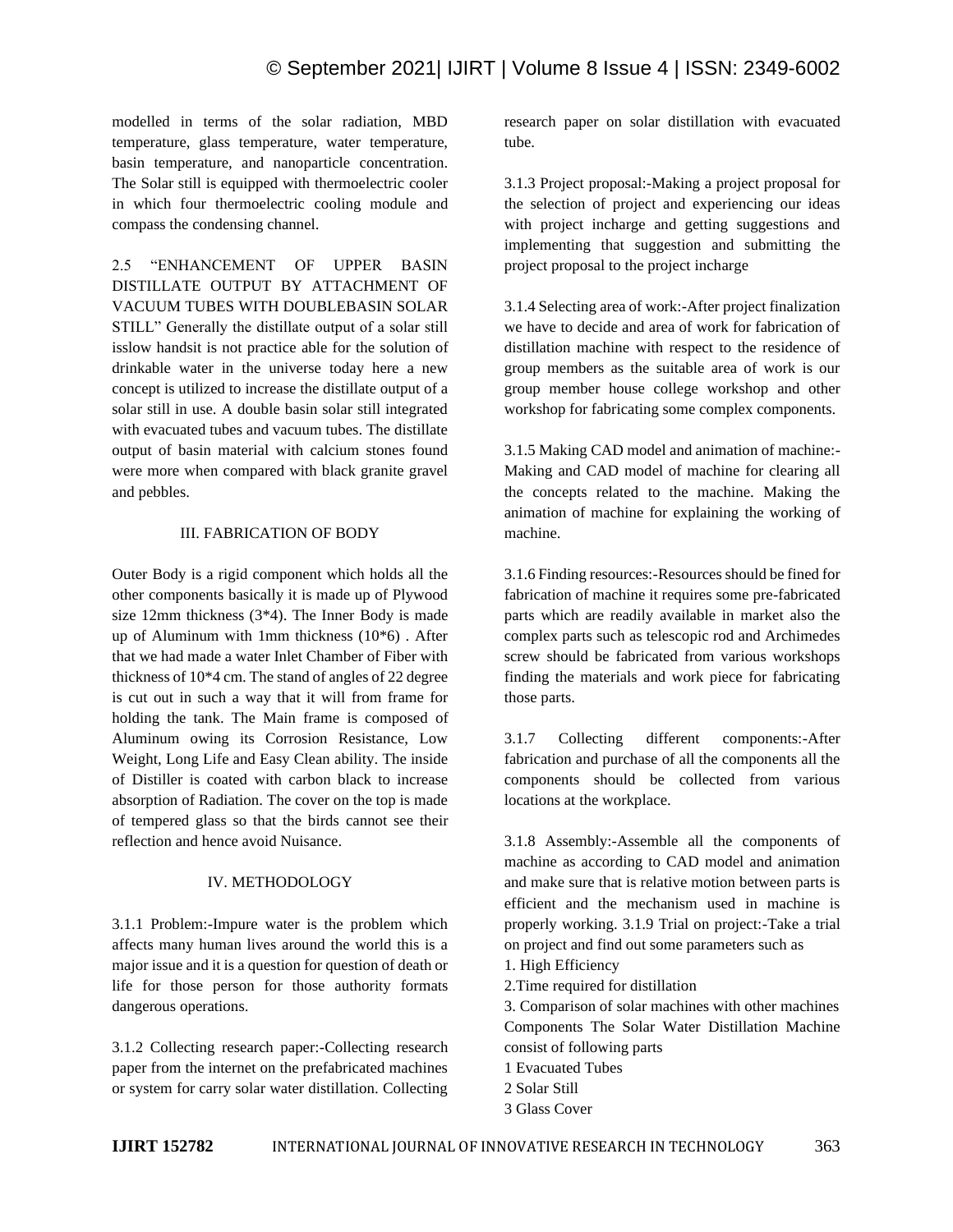# © September 2021| IJIRT | Volume 8 Issue 4 | ISSN: 2349-6002

modelled in terms of the solar radiation, MBD temperature, glass temperature, water temperature, basin temperature, and nanoparticle concentration. The Solar still is equipped with thermoelectric cooler in which four thermoelectric cooling module and compass the condensing channel.

2.5 "ENHANCEMENT OF UPPER BASIN DISTILLATE OUTPUT BY ATTACHMENT OF VACUUM TUBES WITH DOUBLEBASIN SOLAR STILL" Generally the distillate output of a solar still isslow handsit is not practice able for the solution of drinkable water in the universe today here a new concept is utilized to increase the distillate output of a solar still in use. A double basin solar still integrated with evacuated tubes and vacuum tubes. The distillate output of basin material with calcium stones found were more when compared with black granite gravel and pebbles.

#### III. FABRICATION OF BODY

Outer Body is a rigid component which holds all the other components basically it is made up of Plywood size 12mm thickness (3\*4). The Inner Body is made up of Aluminum with 1mm thickness (10\*6) . After that we had made a water Inlet Chamber of Fiber with thickness of 10\*4 cm. The stand of angles of 22 degree is cut out in such a way that it will from frame for holding the tank. The Main frame is composed of Aluminum owing its Corrosion Resistance, Low Weight, Long Life and Easy Clean ability. The inside of Distiller is coated with carbon black to increase absorption of Radiation. The cover on the top is made of tempered glass so that the birds cannot see their reflection and hence avoid Nuisance.

#### IV. METHODOLOGY

3.1.1 Problem:-Impure water is the problem which affects many human lives around the world this is a major issue and it is a question for question of death or life for those person for those authority formats dangerous operations.

3.1.2 Collecting research paper:-Collecting research paper from the internet on the prefabricated machines or system for carry solar water distillation. Collecting

research paper on solar distillation with evacuated tube.

3.1.3 Project proposal:-Making a project proposal for the selection of project and experiencing our ideas with project incharge and getting suggestions and implementing that suggestion and submitting the project proposal to the project incharge

3.1.4 Selecting area of work:-After project finalization we have to decide and area of work for fabrication of distillation machine with respect to the residence of group members as the suitable area of work is our group member house college workshop and other workshop for fabricating some complex components.

3.1.5 Making CAD model and animation of machine:- Making and CAD model of machine for clearing all the concepts related to the machine. Making the animation of machine for explaining the working of machine.

3.1.6 Finding resources:-Resources should be fined for fabrication of machine it requires some pre-fabricated parts which are readily available in market also the complex parts such as telescopic rod and Archimedes screw should be fabricated from various workshops finding the materials and work piece for fabricating those parts.

3.1.7 Collecting different components:-After fabrication and purchase of all the components all the components should be collected from various locations at the workplace.

3.1.8 Assembly:-Assemble all the components of machine as according to CAD model and animation and make sure that is relative motion between parts is efficient and the mechanism used in machine is properly working. 3.1.9 Trial on project:-Take a trial on project and find out some parameters such as

- 1. High Efficiency
- 2.Time required for distillation

3. Comparison of solar machines with other machines Components The Solar Water Distillation Machine consist of following parts

- 1 Evacuated Tubes
- 2 Solar Still
- 3 Glass Cover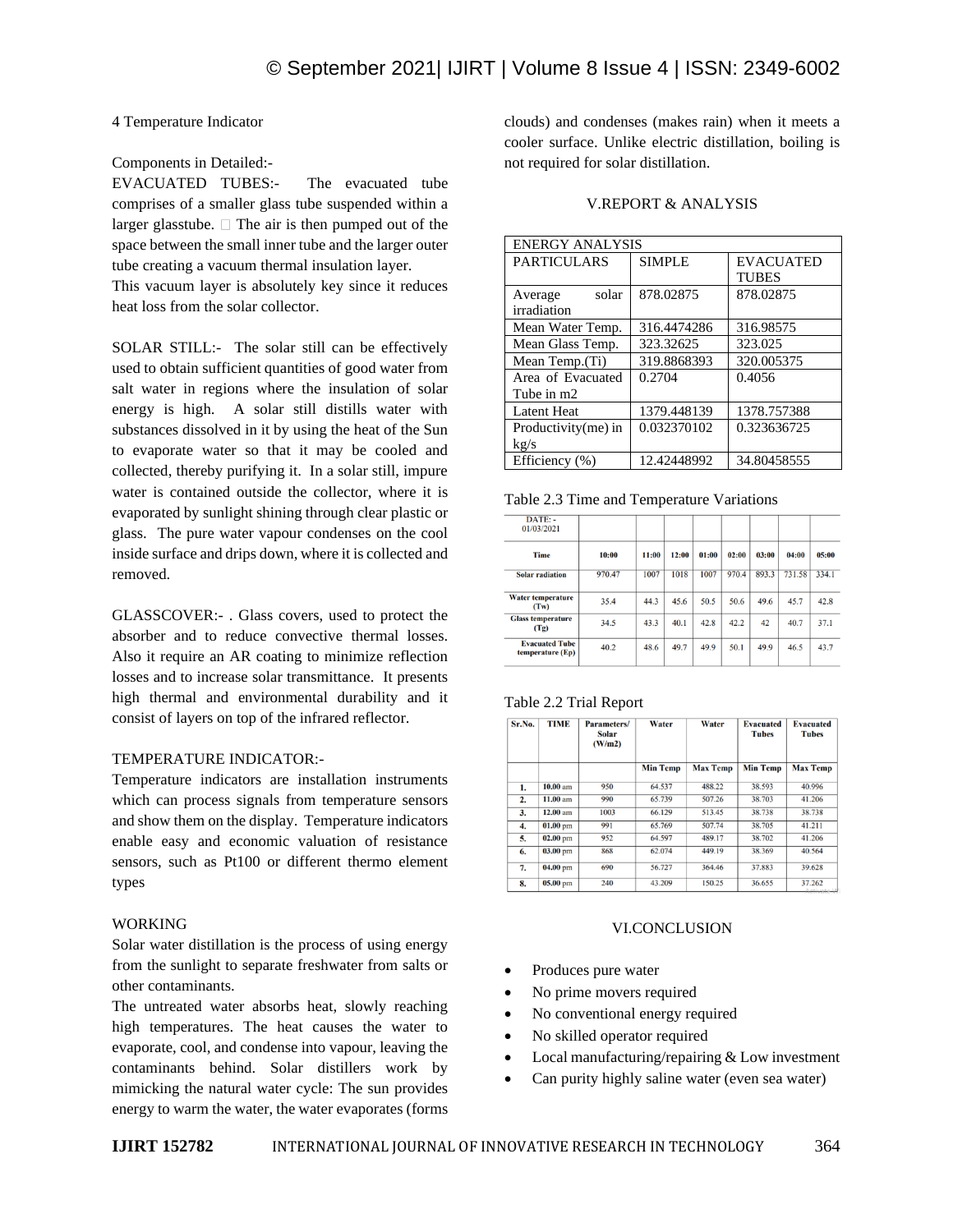## 4 Temperature Indicator

#### Components in Detailed:-

EVACUATED TUBES:- The evacuated tube comprises of a smaller glass tube suspended within a larger glasstube.  $\Box$  The air is then pumped out of the space between the small inner tube and the larger outer tube creating a vacuum thermal insulation layer.

This vacuum layer is absolutely key since it reduces heat loss from the solar collector.

SOLAR STILL:- The solar still can be effectively used to obtain sufficient quantities of good water from salt water in regions where the insulation of solar energy is high. A solar still distills water with substances dissolved in it by using the heat of the Sun to evaporate water so that it may be cooled and collected, thereby purifying it. In a solar still, impure water is contained outside the collector, where it is evaporated by sunlight shining through clear plastic or glass. The pure water vapour condenses on the cool inside surface and drips down, where it is collected and removed.

GLASSCOVER:- . Glass covers, used to protect the absorber and to reduce convective thermal losses. Also it require an AR coating to minimize reflection losses and to increase solar transmittance. It presents high thermal and environmental durability and it consist of layers on top of the infrared reflector.

#### TEMPERATURE INDICATOR:-

Temperature indicators are installation instruments which can process signals from temperature sensors and show them on the display. Temperature indicators enable easy and economic valuation of resistance sensors, such as Pt100 or different thermo element types

#### WORKING

Solar water distillation is the process of using energy from the sunlight to separate freshwater from salts or other contaminants.

The untreated water absorbs heat, slowly reaching high temperatures. The heat causes the water to evaporate, cool, and condense into vapour, leaving the contaminants behind. Solar distillers work by mimicking the natural water cycle: The sun provides energy to warm the water, the water evaporates (forms clouds) and condenses (makes rain) when it meets a cooler surface. Unlike electric distillation, boiling is not required for solar distillation.

#### V.REPORT & ANALYSIS

| <b>ENERGY ANALYSIS</b> |               |                  |  |  |  |
|------------------------|---------------|------------------|--|--|--|
| <b>PARTICULARS</b>     | <b>SIMPLE</b> | <b>EVACUATED</b> |  |  |  |
|                        |               | <b>TUBES</b>     |  |  |  |
| solar<br>Average       | 878.02875     | 878.02875        |  |  |  |
| irradiation            |               |                  |  |  |  |
| Mean Water Temp.       | 316.4474286   | 316.98575        |  |  |  |
| Mean Glass Temp.       | 323.32625     | 323.025          |  |  |  |
| Mean Temp. (Ti)        | 319.8868393   | 320.005375       |  |  |  |
| Area of Evacuated      | 0.2704        | 0.4056           |  |  |  |
| Tube in m2             |               |                  |  |  |  |
| <b>Latent Heat</b>     | 1379.448139   | 1378.757388      |  |  |  |
| Productivity $(me)$ in | 0.032370102   | 0.323636725      |  |  |  |
| kg/s                   |               |                  |  |  |  |
| Efficiency (%)         | 12.42448992   | 34.80458555      |  |  |  |

Table 2.3 Time and Temperature Variations

| DATE: -<br>01/03/2021                     |        |       |       |       |       |       |        |       |
|-------------------------------------------|--------|-------|-------|-------|-------|-------|--------|-------|
| <b>Time</b>                               | 10:00  | 11:00 | 12:00 | 01:00 | 02:00 | 03:00 | 04:00  | 05:00 |
| <b>Solar radiation</b>                    | 970.47 | 1007  | 1018  | 1007  | 970.4 | 893.3 | 731.58 | 334.1 |
| <b>Water temperature</b><br>(Tw)          | 35.4   | 44.3  | 45.6  | 50.5  | 50.6  | 49.6  | 45.7   | 42.8  |
| <b>Glass temperature</b><br>(Tg)          | 34.5   | 43.3  | 40.1  | 42.8  | 42.2  | 42    | 40.7   | 37.1  |
| <b>Evacuated Tube</b><br>temperature (Ep) | 40.2   | 48.6  | 49.7  | 49.9  | 50.1  | 49.9  | 46.5   | 43.7  |

| Table 2.2 Trial Report |  |  |
|------------------------|--|--|
|------------------------|--|--|

| Sr.No. | <b>TIME</b> | Parameters/<br><b>Solar</b><br>(W/m2) | Water           | Water           | <b>Evacuated</b><br><b>Tubes</b> | <b>Evacuated</b><br><b>Tubes</b> |
|--------|-------------|---------------------------------------|-----------------|-----------------|----------------------------------|----------------------------------|
|        |             |                                       | <b>Min Temp</b> | <b>Max Temp</b> | <b>Min Temp</b>                  | <b>Max Temp</b>                  |
| 1.     | $10.00 a$ m | 950                                   | 64.537          | 488.22          | 38.593                           | 40.996                           |
| 2.     | 11.00 am    | 990                                   | 65.739          | 507.26          | 38.703                           | 41.206                           |
| 3.     | $12.00$ am  | 1003                                  | 66.129          | 513.45          | 38.738                           | 38.738                           |
| 4.     | $01.00$ pm  | 991                                   | 65.769          | 507.74          | 38.705                           | 41.211                           |
| 5.     | $02.00$ pm  | 952                                   | 64.597          | 489.17          | 38.702                           | 41.206                           |
| 6.     | $03.00$ pm  | 868                                   | 62.074          | 449.19          | 38.369                           | 40.564                           |
| 7.     | $04.00$ pm  | 690                                   | 56.727          | 364.46          | 37.883                           | 39.628                           |
| 8.     | $05.00$ pm  | 240                                   | 43.209          | 150.25          | 36.655                           | 37.262<br>A solve confirm 1.8    |

#### VI.CONCLUSION

- Produces pure water
- No prime movers required
- No conventional energy required
- No skilled operator required
- Local manufacturing/repairing & Low investment
- Can purity highly saline water (even sea water)